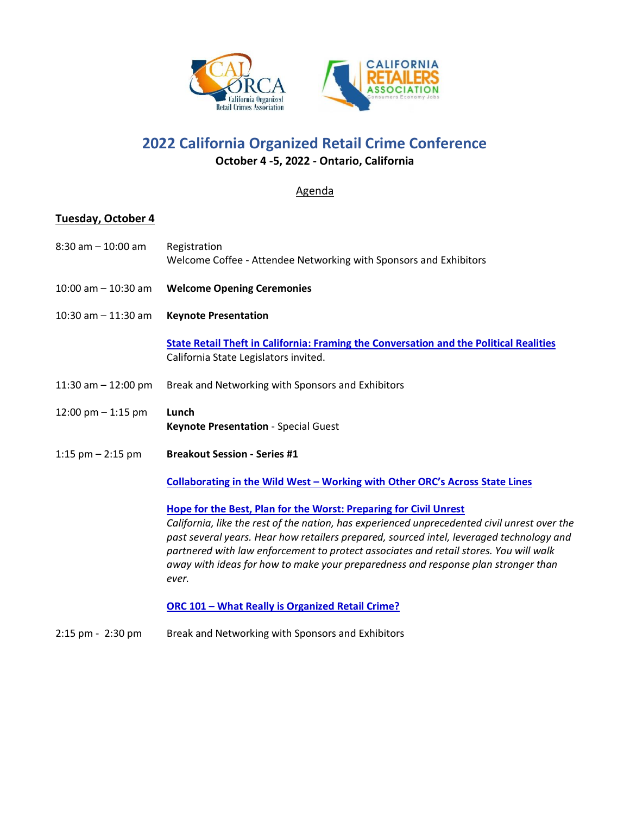

**2022 California Organized Retail Crime Conference**

ON

**October 4 -5, 2022 - Ontario, California**

## Agenda

# **Tuesday, October 4**

| $8:30$ am $-10:00$ am   | Registration<br>Welcome Coffee - Attendee Networking with Sponsors and Exhibitors                                                                                                                                                                                                                                                                                                                                                                                                                        |
|-------------------------|----------------------------------------------------------------------------------------------------------------------------------------------------------------------------------------------------------------------------------------------------------------------------------------------------------------------------------------------------------------------------------------------------------------------------------------------------------------------------------------------------------|
| $10:00$ am $- 10:30$ am | <b>Welcome Opening Ceremonies</b>                                                                                                                                                                                                                                                                                                                                                                                                                                                                        |
| $10:30$ am $-11:30$ am  | <b>Keynote Presentation</b>                                                                                                                                                                                                                                                                                                                                                                                                                                                                              |
|                         | <b>State Retail Theft in California: Framing the Conversation and the Political Realities</b><br>California State Legislators invited.                                                                                                                                                                                                                                                                                                                                                                   |
| 11:30 am $-$ 12:00 pm   | Break and Networking with Sponsors and Exhibitors                                                                                                                                                                                                                                                                                                                                                                                                                                                        |
| 12:00 pm $-$ 1:15 pm    | Lunch<br>Keynote Presentation - Special Guest                                                                                                                                                                                                                                                                                                                                                                                                                                                            |
| 1:15 $pm - 2:15$ pm     | <b>Breakout Session - Series #1</b>                                                                                                                                                                                                                                                                                                                                                                                                                                                                      |
|                         | Collaborating in the Wild West - Working with Other ORC's Across State Lines                                                                                                                                                                                                                                                                                                                                                                                                                             |
|                         | Hope for the Best, Plan for the Worst: Preparing for Civil Unrest<br>California, like the rest of the nation, has experienced unprecedented civil unrest over the<br>past several years. Hear how retailers prepared, sourced intel, leveraged technology and<br>partnered with law enforcement to protect associates and retail stores. You will walk<br>away with ideas for how to make your preparedness and response plan stronger than<br>ever.<br>ORC 101 - What Really is Organized Retail Crime? |
| 2:15 pm - 2:30 pm       | Break and Networking with Sponsors and Exhibitors                                                                                                                                                                                                                                                                                                                                                                                                                                                        |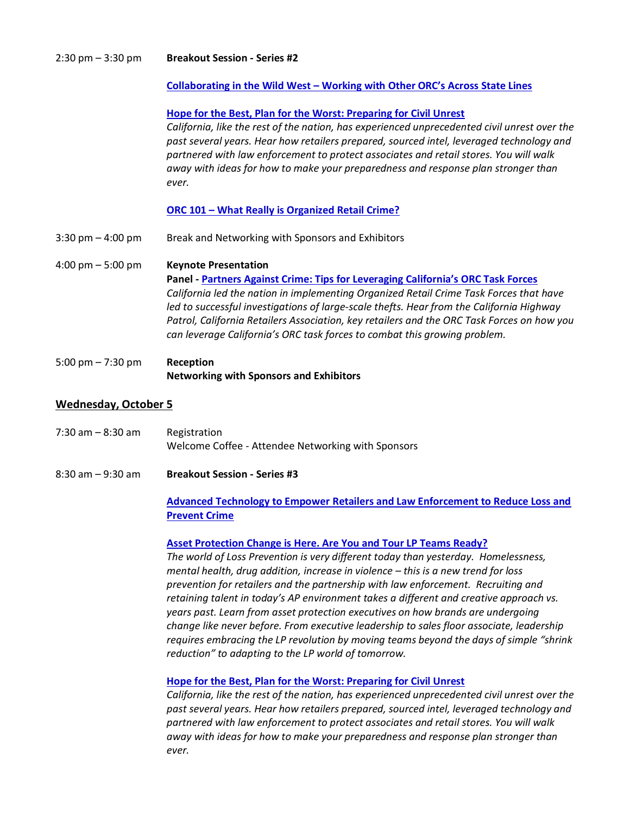| <b>Breakout Session - Series #2</b><br>$2:30 \text{ pm} - 3:30 \text{ pm}$ |
|----------------------------------------------------------------------------|
|----------------------------------------------------------------------------|

#### **Collaborating in the Wild West – Working with Other ORC's Across State Lines**

#### **Hope for the Best, Plan for the Worst: Preparing for Civil Unrest**

*California, like the rest of the nation, has experienced unprecedented civil unrest over the past several years. Hear how retailers prepared, sourced intel, leveraged technology and partnered with law enforcement to protect associates and retail stores. You will walk away with ideas for how to make your preparedness and response plan stronger than ever.*

#### **ORC 101 – What Really is Organized Retail Crime?**

3:30 pm – 4:00 pm Break and Networking with Sponsors and Exhibitors

4:00 pm – 5:00 pm **Keynote Presentation Panel - Partners Against Crime: Tips for Leveraging California's ORC Task Forces** *California led the nation in implementing Organized Retail Crime Task Forces that have led to successful investigations of large-scale thefts. Hear from the California Highway Patrol, California Retailers Association, key retailers and the ORC Task Forces on how you can leverage California's ORC task forces to combat this growing problem.*

5:00 pm – 7:30 pm **Reception Networking with Sponsors and Exhibitors**

### **Wednesday, October 5**

| 7:30 am - 8:30 am | Registration                                       |
|-------------------|----------------------------------------------------|
|                   | Welcome Coffee - Attendee Networking with Sponsors |

8:30 am – 9:30 am **Breakout Session - Series #3**

### **Advanced Technology to Empower Retailers and Law Enforcement to Reduce Loss and Prevent Crime**

#### **Asset Protection Change is Here. Are You and Tour LP Teams Ready?**

*The world of Loss Prevention is very different today than yesterday. Homelessness, mental health, drug addition, increase in violence – this is a new trend for loss prevention for retailers and the partnership with law enforcement. Recruiting and retaining talent in today's AP environment takes a different and creative approach vs. years past. Learn from asset protection executives on how brands are undergoing change like never before. From executive leadership to sales floor associate, leadership requires embracing the LP revolution by moving teams beyond the days of simple "shrink reduction" to adapting to the LP world of tomorrow.*

#### **Hope for the Best, Plan for the Worst: Preparing for Civil Unrest**

*California, like the rest of the nation, has experienced unprecedented civil unrest over the past several years. Hear how retailers prepared, sourced intel, leveraged technology and partnered with law enforcement to protect associates and retail stores. You will walk away with ideas for how to make your preparedness and response plan stronger than ever.*